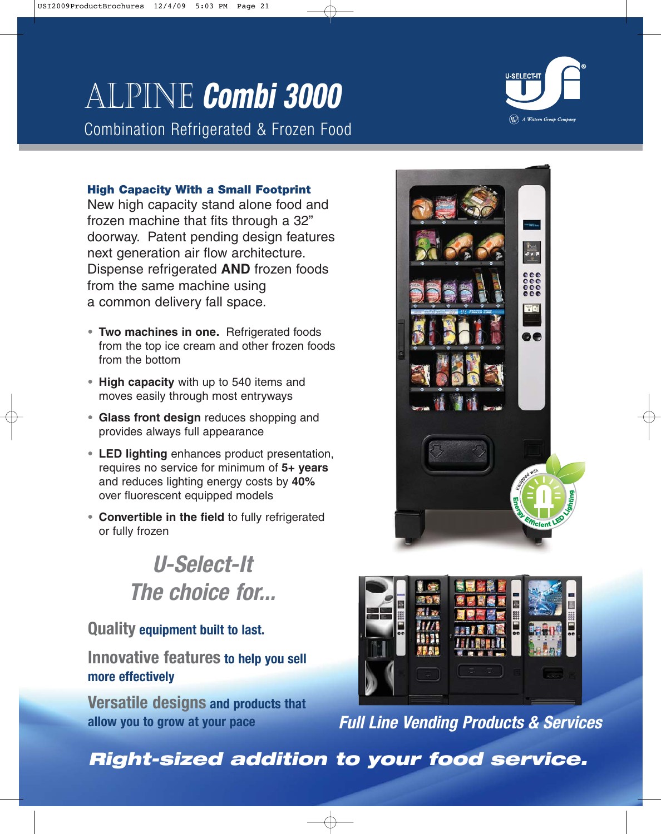# Alpine **Combi 3000**

Combination Refrigerated & Frozen Food



### **High Capacity With a Small Footprint**

New high capacity stand alone food and frozen machine that fits through a 32" doorway. Patent pending design features next generation air flow architecture. Dispense refrigerated **AND** frozen foods from the same machine using a common delivery fall space.

- **• Two machines in one.** Refrigerated foods from the top ice cream and other frozen foods from the bottom
- **• High capacity** with up to 540 items and moves easily through most entryways
- **• Glass front design** reduces shopping and provides always full appearance
- **• LED lighting** enhances product presentation, requires no service for minimum of **5+ years** and reduces lighting energy costs by **40%** over fluorescent equipped models
- **• Convertible in the field** to fully refrigerated or fully frozen

# **U-Select-It The choice for...**

# **Quality equipment built to last.**

**Innovative features to help you sell more effectively**

**Versatile designs and products that allow you to grow at your pace**





**Full Line Vending Products & Services**

**Right-sized addition to your food service.**